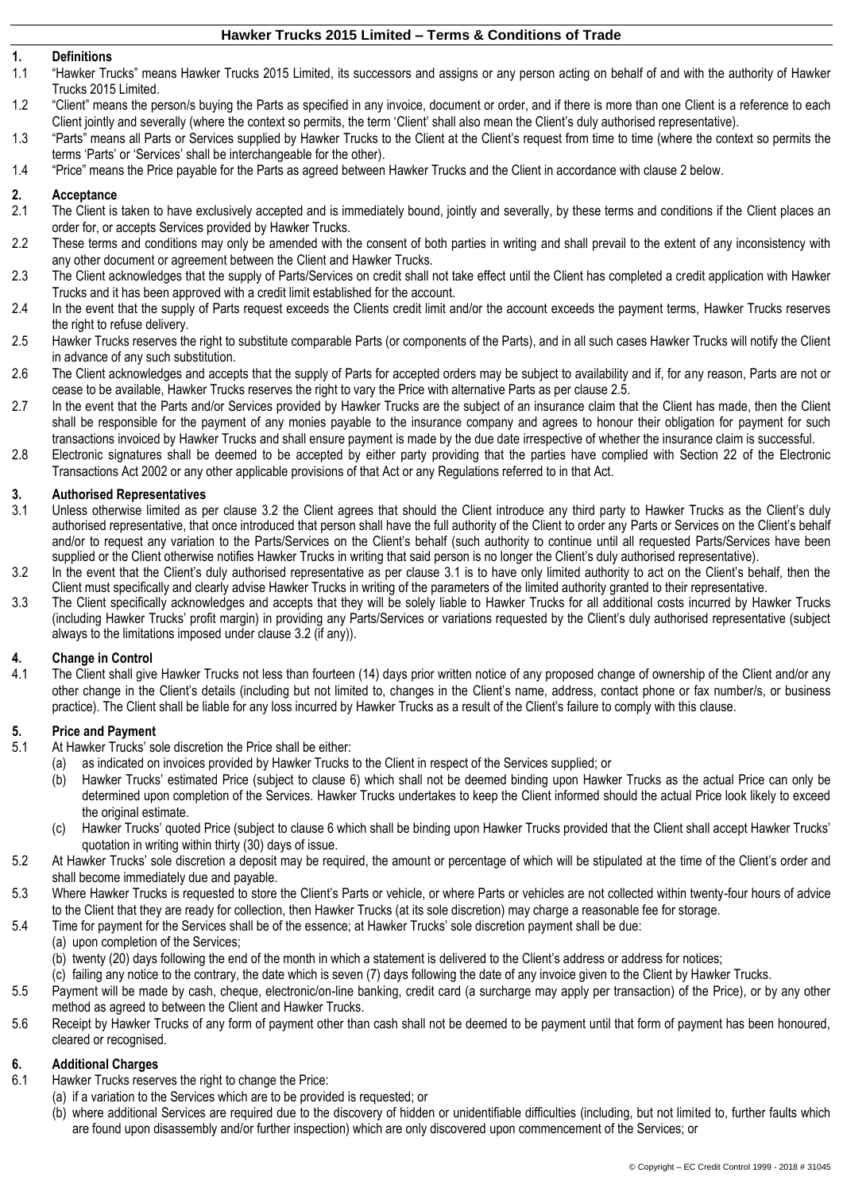## **1. Definitions**

- 1.1 "Hawker Trucks" means Hawker Trucks 2015 Limited, its successors and assigns or any person acting on behalf of and with the authority of Hawker Trucks 2015 Limited.
- 1.2 "Client" means the person/s buying the Parts as specified in any invoice, document or order, and if there is more than one Client is a reference to each Client jointly and severally (where the context so permits, the term 'Client' shall also mean the Client's duly authorised representative).
- 1.3 "Parts" means all Parts or Services supplied by Hawker Trucks to the Client at the Client's request from time to time (where the context so permits the terms 'Parts' or 'Services' shall be interchangeable for the other).
- 1.4 "Price" means the Price payable for the Parts as agreed between Hawker Trucks and the Client in accordance with clause [2](#page-0-0) below.

#### <span id="page-0-0"></span>**2. Acceptance**

- 2.1 The Client is taken to have exclusively accepted and is immediately bound, jointly and severally, by these terms and conditions if the Client places an order for, or accepts Services provided by Hawker Trucks.
- 2.2 These terms and conditions may only be amended with the consent of both parties in writing and shall prevail to the extent of any inconsistency with any other document or agreement between the Client and Hawker Trucks.
- 2.3 The Client acknowledges that the supply of Parts/Services on credit shall not take effect until the Client has completed a credit application with Hawker Trucks and it has been approved with a credit limit established for the account.
- 2.4 In the event that the supply of Parts request exceeds the Clients credit limit and/or the account exceeds the payment terms, Hawker Trucks reserves the right to refuse delivery.
- 2.5 Hawker Trucks reserves the right to substitute comparable Parts (or components of the Parts), and in all such cases Hawker Trucks will notify the Client in advance of any such substitution.
- 2.6 The Client acknowledges and accepts that the supply of Parts for accepted orders may be subject to availability and if, for any reason, Parts are not or cease to be available, Hawker Trucks reserves the right to vary the Price with alternative Parts as per clause 2.5.
- 2.7 In the event that the Parts and/or Services provided by Hawker Trucks are the subject of an insurance claim that the Client has made, then the Client shall be responsible for the payment of any monies payable to the insurance company and agrees to honour their obligation for payment for such transactions invoiced by Hawker Trucks and shall ensure payment is made by the due date irrespective of whether the insurance claim is successful.
- 2.8 Electronic signatures shall be deemed to be accepted by either party providing that the parties have complied with Section 22 of the Electronic Transactions Act 2002 or any other applicable provisions of that Act or any Regulations referred to in that Act.

## **3. Authorised Representatives**

- <span id="page-0-2"></span>Unless otherwise limited as per clause [3.2](#page-0-1) the Client agrees that should the Client introduce any third party to Hawker Trucks as the Client's duly authorised representative, that once introduced that person shall have the full authority of the Client to order any Parts or Services on the Client's behalf and/or to request any variation to the Parts/Services on the Client's behalf (such authority to continue until all requested Parts/Services have been supplied or the Client otherwise notifies Hawker Trucks in writing that said person is no longer the Client's duly authorised representative).
- <span id="page-0-1"></span>3.2 In the event that the Client's duly authorised representative as per clause [3.1](#page-0-2) is to have only limited authority to act on the Client's behalf, then the Client must specifically and clearly advise Hawker Trucks in writing of the parameters of the limited authority granted to their representative.
- 3.3 The Client specifically acknowledges and accepts that they will be solely liable to Hawker Trucks for all additional costs incurred by Hawker Trucks (including Hawker Trucks' profit margin) in providing any Parts/Services or variations requested by the Client's duly authorised representative (subject always to the limitations imposed under clause [3.2](#page-0-1) (if any)).

#### **4. Change in Control**

4.1 The Client shall give Hawker Trucks not less than fourteen (14) days prior written notice of any proposed change of ownership of the Client and/or any other change in the Client's details (including but not limited to, changes in the Client's name, address, contact phone or fax number/s, or business practice). The Client shall be liable for any loss incurred by Hawker Trucks as a result of the Client's failure to comply with this clause.

#### **5. Price and Payment**

- 5.1 At Hawker Trucks' sole discretion the Price shall be either:
	- (a) as indicated on invoices provided by Hawker Trucks to the Client in respect of the Services supplied; or
	- (b) Hawker Trucks' estimated Price (subject to clause [6\)](#page-0-3) which shall not be deemed binding upon Hawker Trucks as the actual Price can only be determined upon completion of the Services. Hawker Trucks undertakes to keep the Client informed should the actual Price look likely to exceed the original estimate.
	- (c) Hawker Trucks' quoted Price (subject to clause [6](#page-0-3) which shall be binding upon Hawker Trucks provided that the Client shall accept Hawker Trucks' quotation in writing within thirty (30) days of issue.
- 5.2 At Hawker Trucks' sole discretion a deposit may be required, the amount or percentage of which will be stipulated at the time of the Client's order and shall become immediately due and payable.
- 5.3 Where Hawker Trucks is requested to store the Client's Parts or vehicle, or where Parts or vehicles are not collected within twenty-four hours of advice to the Client that they are ready for collection, then Hawker Trucks (at its sole discretion) may charge a reasonable fee for storage.
- 5.4 Time for payment for the Services shall be of the essence; at Hawker Trucks' sole discretion payment shall be due:
	- (a) upon completion of the Services;
	- (b) twenty (20) days following the end of the month in which a statement is delivered to the Client's address or address for notices;
	- (c) failing any notice to the contrary, the date which is seven (7) days following the date of any invoice given to the Client by Hawker Trucks.
- 5.5 Payment will be made by cash, cheque, electronic/on-line banking, credit card (a surcharge may apply per transaction) of the Price), or by any other method as agreed to between the Client and Hawker Trucks.
- 5.6 Receipt by Hawker Trucks of any form of payment other than cash shall not be deemed to be payment until that form of payment has been honoured, cleared or recognised.

#### <span id="page-0-3"></span>**6. Additional Charges**

- 6.1 Hawker Trucks reserves the right to change the Price:
	- (a) if a variation to the Services which are to be provided is requested; or
	- (b) where additional Services are required due to the discovery of hidden or unidentifiable difficulties (including, but not limited to, further faults which are found upon disassembly and/or further inspection) which are only discovered upon commencement of the Services; or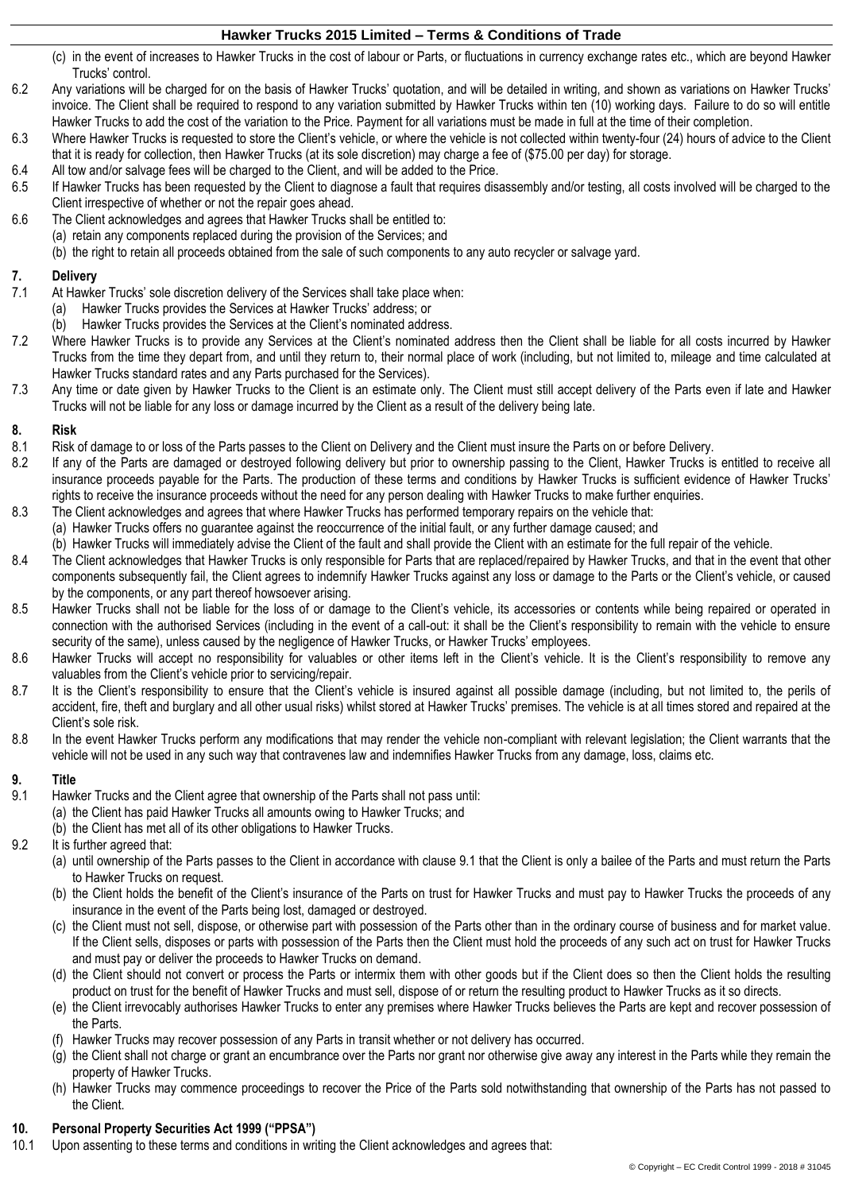- (c) in the event of increases to Hawker Trucks in the cost of labour or Parts, or fluctuations in currency exchange rates etc., which are beyond Hawker Trucks' control.
- 6.2 Any variations will be charged for on the basis of Hawker Trucks' quotation, and will be detailed in writing, and shown as variations on Hawker Trucks' invoice. The Client shall be required to respond to any variation submitted by Hawker Trucks within ten (10) working days. Failure to do so will entitle Hawker Trucks to add the cost of the variation to the Price. Payment for all variations must be made in full at the time of their completion.
- 6.3 Where Hawker Trucks is requested to store the Client's vehicle, or where the vehicle is not collected within twenty-four (24) hours of advice to the Client that it is ready for collection, then Hawker Trucks (at its sole discretion) may charge a fee of (\$75.00 per day) for storage.
- 6.4 All tow and/or salvage fees will be charged to the Client, and will be added to the Price.
- 6.5 If Hawker Trucks has been requested by the Client to diagnose a fault that requires disassembly and/or testing, all costs involved will be charged to the Client irrespective of whether or not the repair goes ahead.
- 6.6 The Client acknowledges and agrees that Hawker Trucks shall be entitled to:
	- (a) retain any components replaced during the provision of the Services; and
		- (b) the right to retain all proceeds obtained from the sale of such components to any auto recycler or salvage yard.

## **7. Delivery**

- At Hawker Trucks' sole discretion delivery of the Services shall take place when:
	- (a) Hawker Trucks provides the Services at Hawker Trucks' address; or
	- (b) Hawker Trucks provides the Services at the Client's nominated address.
- 7.2 Where Hawker Trucks is to provide any Services at the Client's nominated address then the Client shall be liable for all costs incurred by Hawker Trucks from the time they depart from, and until they return to, their normal place of work (including, but not limited to, mileage and time calculated at Hawker Trucks standard rates and any Parts purchased for the Services).
- 7.3 Any time or date given by Hawker Trucks to the Client is an estimate only. The Client must still accept delivery of the Parts even if late and Hawker Trucks will not be liable for any loss or damage incurred by the Client as a result of the delivery being late.

# **8. Risk**

- Risk of damage to or loss of the Parts passes to the Client on Delivery and the Client must insure the Parts on or before Delivery.
- 8.2 If any of the Parts are damaged or destroyed following delivery but prior to ownership passing to the Client, Hawker Trucks is entitled to receive all insurance proceeds payable for the Parts. The production of these terms and conditions by Hawker Trucks is sufficient evidence of Hawker Trucks' rights to receive the insurance proceeds without the need for any person dealing with Hawker Trucks to make further enquiries.
- 8.3 The Client acknowledges and agrees that where Hawker Trucks has performed temporary repairs on the vehicle that:
	- (a) Hawker Trucks offers no guarantee against the reoccurrence of the initial fault, or any further damage caused; and
- (b) Hawker Trucks will immediately advise the Client of the fault and shall provide the Client with an estimate for the full repair of the vehicle.
- 8.4 The Client acknowledges that Hawker Trucks is only responsible for Parts that are replaced/repaired by Hawker Trucks, and that in the event that other components subsequently fail, the Client agrees to indemnify Hawker Trucks against any loss or damage to the Parts or the Client's vehicle, or caused by the components, or any part thereof howsoever arising.
- 8.5 Hawker Trucks shall not be liable for the loss of or damage to the Client's vehicle, its accessories or contents while being repaired or operated in connection with the authorised Services (including in the event of a call-out: it shall be the Client's responsibility to remain with the vehicle to ensure security of the same), unless caused by the negligence of Hawker Trucks, or Hawker Trucks' employees.
- 8.6 Hawker Trucks will accept no responsibility for valuables or other items left in the Client's vehicle. It is the Client's responsibility to remove any valuables from the Client's vehicle prior to servicing/repair.
- 8.7 It is the Client's responsibility to ensure that the Client's vehicle is insured against all possible damage (including, but not limited to, the perils of accident, fire, theft and burglary and all other usual risks) whilst stored at Hawker Trucks' premises. The vehicle is at all times stored and repaired at the Client's sole risk.
- 8.8 In the event Hawker Trucks perform any modifications that may render the vehicle non-compliant with relevant legislation; the Client warrants that the vehicle will not be used in any such way that contravenes law and indemnifies Hawker Trucks from any damage, loss, claims etc.

## **9. Title**

- <span id="page-1-0"></span>9.1 Hawker Trucks and the Client agree that ownership of the Parts shall not pass until: (a) the Client has paid Hawker Trucks all amounts owing to Hawker Trucks; and
	- (b) the Client has met all of its other obligations to Hawker Trucks.
- 9.2 It is further agreed that:
	- (a) until ownership of the Parts passes to the Client in accordance with clause [9.1](#page-1-0) that the Client is only a bailee of the Parts and must return the Parts to Hawker Trucks on request.
	- (b) the Client holds the benefit of the Client's insurance of the Parts on trust for Hawker Trucks and must pay to Hawker Trucks the proceeds of any insurance in the event of the Parts being lost, damaged or destroyed.
	- (c) the Client must not sell, dispose, or otherwise part with possession of the Parts other than in the ordinary course of business and for market value. If the Client sells, disposes or parts with possession of the Parts then the Client must hold the proceeds of any such act on trust for Hawker Trucks and must pay or deliver the proceeds to Hawker Trucks on demand.
	- (d) the Client should not convert or process the Parts or intermix them with other goods but if the Client does so then the Client holds the resulting product on trust for the benefit of Hawker Trucks and must sell, dispose of or return the resulting product to Hawker Trucks as it so directs.
	- (e) the Client irrevocably authorises Hawker Trucks to enter any premises where Hawker Trucks believes the Parts are kept and recover possession of the Parts.
	- (f) Hawker Trucks may recover possession of any Parts in transit whether or not delivery has occurred.
	- (g) the Client shall not charge or grant an encumbrance over the Parts nor grant nor otherwise give away any interest in the Parts while they remain the property of Hawker Trucks.
	- (h) Hawker Trucks may commence proceedings to recover the Price of the Parts sold notwithstanding that ownership of the Parts has not passed to the Client.

## <span id="page-1-2"></span>**10. Personal Property Securities Act 1999 ("PPSA")**

<span id="page-1-1"></span>10.1 Upon assenting to these terms and conditions in writing the Client acknowledges and agrees that: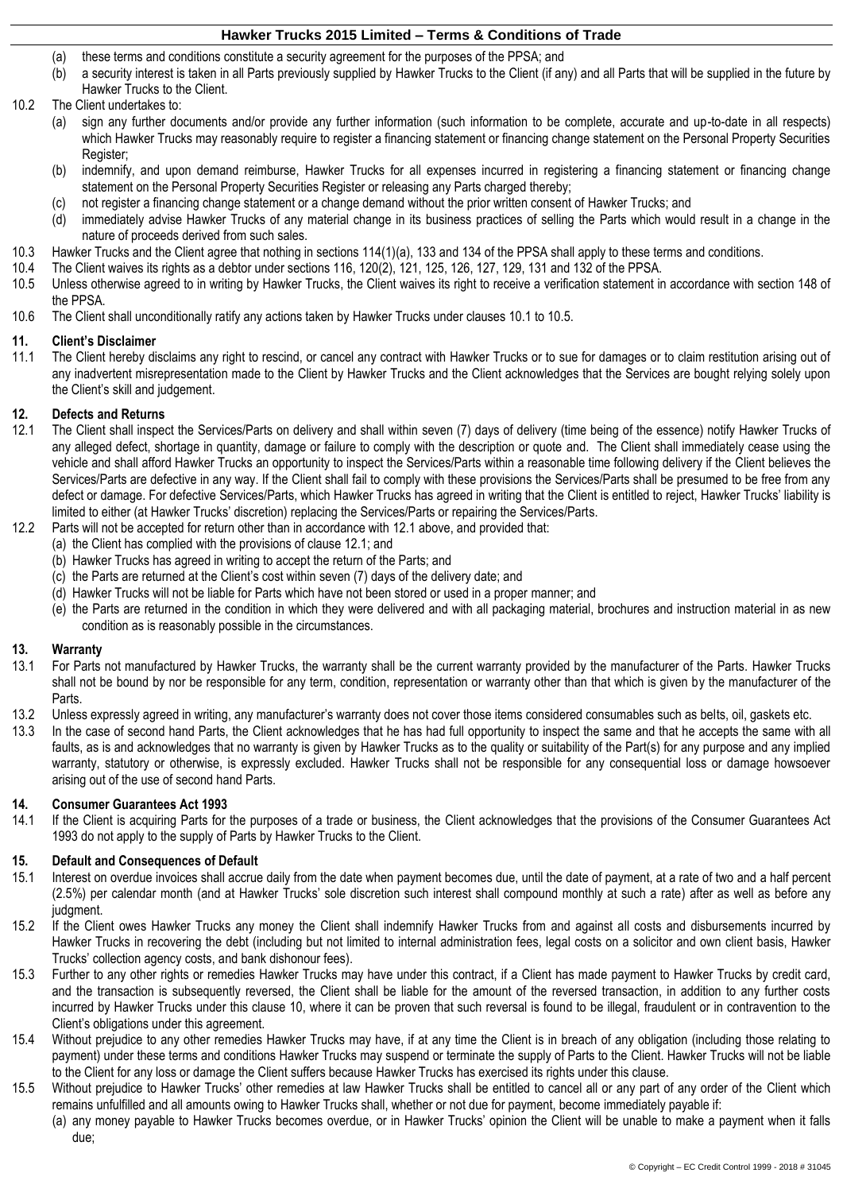- (a) these terms and conditions constitute a security agreement for the purposes of the PPSA; and
- (b) a security interest is taken in all Parts previously supplied by Hawker Trucks to the Client (if any) and all Parts that will be supplied in the future by Hawker Trucks to the Client.
- 10.2 The Client undertakes to:
	- (a) sign any further documents and/or provide any further information (such information to be complete, accurate and up-to-date in all respects) which Hawker Trucks may reasonably require to register a financing statement or financing change statement on the Personal Property Securities Register;
	- (b) indemnify, and upon demand reimburse, Hawker Trucks for all expenses incurred in registering a financing statement or financing change statement on the Personal Property Securities Register or releasing any Parts charged thereby;
	- (c) not register a financing change statement or a change demand without the prior written consent of Hawker Trucks; and
	- (d) immediately advise Hawker Trucks of any material change in its business practices of selling the Parts which would result in a change in the nature of proceeds derived from such sales.
- 10.3 Hawker Trucks and the Client agree that nothing in sections 114(1)(a), 133 and 134 of the PPSA shall apply to these terms and conditions.
- 10.4 The Client waives its rights as a debtor under sections 116, 120(2), 121, 125, 126, 127, 129, 131 and 132 of the PPSA.
- <span id="page-2-0"></span>10.5 Unless otherwise agreed to in writing by Hawker Trucks, the Client waives its right to receive a verification statement in accordance with section 148 of the PPSA.
- 10.6 The Client shall unconditionally ratify any actions taken by Hawker Trucks under clause[s 10.1](#page-1-1) to [10.5.](#page-2-0)

#### **11. Client's Disclaimer**

11.1 The Client hereby disclaims any right to rescind, or cancel any contract with Hawker Trucks or to sue for damages or to claim restitution arising out of any inadvertent misrepresentation made to the Client by Hawker Trucks and the Client acknowledges that the Services are bought relying solely upon the Client's skill and judgement.

## **12. Defects and Returns**

- <span id="page-2-1"></span>The Client shall inspect the Services/Parts on delivery and shall within seven (7) days of delivery (time being of the essence) notify Hawker Trucks of any alleged defect, shortage in quantity, damage or failure to comply with the description or quote and. The Client shall immediately cease using the vehicle and shall afford Hawker Trucks an opportunity to inspect the Services/Parts within a reasonable time following delivery if the Client believes the Services/Parts are defective in any way. If the Client shall fail to comply with these provisions the Services/Parts shall be presumed to be free from any defect or damage. For defective Services/Parts, which Hawker Trucks has agreed in writing that the Client is entitled to reject, Hawker Trucks' liability is limited to either (at Hawker Trucks' discretion) replacing the Services/Parts or repairing the Services/Parts.
- 12.2 Parts will not be accepted for return other than in accordance with [12.1](#page-2-1) above, and provided that:
	- (a) the Client has complied with the provisions of claus[e 12.1;](#page-2-1) and
	- (b) Hawker Trucks has agreed in writing to accept the return of the Parts; and
	- (c) the Parts are returned at the Client's cost within seven (7) days of the delivery date; and
	- (d) Hawker Trucks will not be liable for Parts which have not been stored or used in a proper manner; and
	- (e) the Parts are returned in the condition in which they were delivered and with all packaging material, brochures and instruction material in as new condition as is reasonably possible in the circumstances.

#### **13. Warranty**

- 13.1 For Parts not manufactured by Hawker Trucks, the warranty shall be the current warranty provided by the manufacturer of the Parts. Hawker Trucks shall not be bound by nor be responsible for any term, condition, representation or warranty other than that which is given by the manufacturer of the Parts.
- 13.2 Unless expressly agreed in writing, any manufacturer's warranty does not cover those items considered consumables such as belts, oil, gaskets etc.
- 13.3 In the case of second hand Parts, the Client acknowledges that he has had full opportunity to inspect the same and that he accepts the same with all faults, as is and acknowledges that no warranty is given by Hawker Trucks as to the quality or suitability of the Part(s) for any purpose and any implied warranty, statutory or otherwise, is expressly excluded. Hawker Trucks shall not be responsible for any consequential loss or damage howsoever arising out of the use of second hand Parts.

#### **14. Consumer Guarantees Act 1993**

14.1 If the Client is acquiring Parts for the purposes of a trade or business, the Client acknowledges that the provisions of the Consumer Guarantees Act 1993 do not apply to the supply of Parts by Hawker Trucks to the Client.

#### **15. Default and Consequences of Default**

- 15.1 Interest on overdue invoices shall accrue daily from the date when payment becomes due, until the date of payment, at a rate of two and a half percent (2.5%) per calendar month (and at Hawker Trucks' sole discretion such interest shall compound monthly at such a rate) after as well as before any judament.
- 15.2 If the Client owes Hawker Trucks any money the Client shall indemnify Hawker Trucks from and against all costs and disbursements incurred by Hawker Trucks in recovering the debt (including but not limited to internal administration fees, legal costs on a solicitor and own client basis, Hawker Trucks' collection agency costs, and bank dishonour fees).
- 15.3 Further to any other rights or remedies Hawker Trucks may have under this contract, if a Client has made payment to Hawker Trucks by credit card, and the transaction is subsequently reversed, the Client shall be liable for the amount of the reversed transaction, in addition to any further costs incurred by Hawker Trucks under this clause [10,](#page-1-2) where it can be proven that such reversal is found to be illegal, fraudulent or in contravention to the Client's obligations under this agreement.
- 15.4 Without prejudice to any other remedies Hawker Trucks may have, if at any time the Client is in breach of any obligation (including those relating to payment) under these terms and conditions Hawker Trucks may suspend or terminate the supply of Parts to the Client. Hawker Trucks will not be liable to the Client for any loss or damage the Client suffers because Hawker Trucks has exercised its rights under this clause.
- 15.5 Without prejudice to Hawker Trucks' other remedies at law Hawker Trucks shall be entitled to cancel all or any part of any order of the Client which remains unfulfilled and all amounts owing to Hawker Trucks shall, whether or not due for payment, become immediately payable if:
	- (a) any money payable to Hawker Trucks becomes overdue, or in Hawker Trucks' opinion the Client will be unable to make a payment when it falls due;